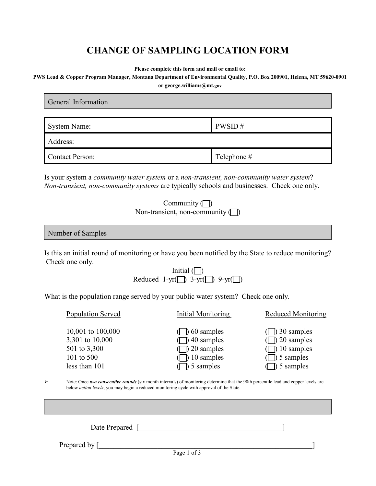## **CHANGE OF SAMPLING LOCATION FORM**

**Please complete this form and mail or email to:**

**PWS Lead & Copper Program Manager, Montana Department of Environmental Quality, P.O. Box 200901, Helena, MT 59620-0901**

**or george.williams@mt.gov**

| <b>General Information</b> |             |  |  |  |
|----------------------------|-------------|--|--|--|
|                            |             |  |  |  |
| System Name:               | PWSID#      |  |  |  |
| Address:                   |             |  |  |  |
| <b>Contact Person:</b>     | Telephone # |  |  |  |

Is your system a *community water system* or a *non-transient, non-community water system*? *Non-transient, non-community systems* are typically schools and businesses. Check one only.

| Community $\Box$                    |
|-------------------------------------|
| Non-transient, non-community $\Box$ |

| Number of Samples |
|-------------------|
|-------------------|

Is this an initial round of monitoring or have you been notified by the State to reduce monitoring? Check one only.

Initial  $\Box$ Reduced  $1-\text{yr}(\Box)$  3-yr $(\Box)$  9-yr $(\Box)$ 

What is the population range served by your public water system? Check one only.

|             | Population Served                                                                   | Initial Monitoring                                                                                                                                                                                                                       | <b>Reduced Monitoring</b>                                                  |  |  |
|-------------|-------------------------------------------------------------------------------------|------------------------------------------------------------------------------------------------------------------------------------------------------------------------------------------------------------------------------------------|----------------------------------------------------------------------------|--|--|
|             | 10,001 to 100,000<br>3,301 to 10,000<br>501 to 3,300<br>101 to 500<br>less than 101 | 60 samples<br>40 samples<br>20 samples<br>10 samples<br>5 samples                                                                                                                                                                        | $\vert$ 30 samples<br>$20$ samples<br>10 samples<br>5 samples<br>5 samples |  |  |
| ➤           |                                                                                     | Note: Once two consecutive rounds (six month intervals) of monitoring determine that the 90th percentile lead and copper levels are<br>below <i>action levels</i> , you may begin a reduced monitoring cycle with approval of the State. |                                                                            |  |  |
|             |                                                                                     |                                                                                                                                                                                                                                          |                                                                            |  |  |
|             | Date Prepared                                                                       |                                                                                                                                                                                                                                          |                                                                            |  |  |
|             | Prepared by [                                                                       |                                                                                                                                                                                                                                          |                                                                            |  |  |
| Page 1 of 3 |                                                                                     |                                                                                                                                                                                                                                          |                                                                            |  |  |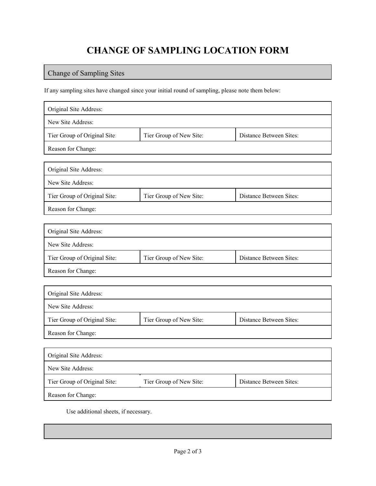## **CHANGE OF SAMPLING LOCATION FORM**

## Change of Sampling Sites

If any sampling sites have changed since your initial round of sampling, please note them below:

| Original Site Address:       |                         |                         |  |  |
|------------------------------|-------------------------|-------------------------|--|--|
| New Site Address:            |                         |                         |  |  |
| Tier Group of Original Site: | Tier Group of New Site: | Distance Between Sites: |  |  |
| Reason for Change:           |                         |                         |  |  |
|                              |                         |                         |  |  |
| Original Site Address:       |                         |                         |  |  |
| New Site Address:            |                         |                         |  |  |
| Tier Group of Original Site: | Tier Group of New Site: | Distance Between Sites: |  |  |
| Reason for Change:           |                         |                         |  |  |
|                              |                         |                         |  |  |
| Original Site Address:       |                         |                         |  |  |
| New Site Address:            |                         |                         |  |  |
| Tier Group of Original Site: | Tier Group of New Site: | Distance Between Sites: |  |  |
| Reason for Change:           |                         |                         |  |  |
|                              |                         |                         |  |  |
| Original Site Address:       |                         |                         |  |  |
| New Site Address:            |                         |                         |  |  |
| Tier Group of Original Site: | Tier Group of New Site: | Distance Between Sites: |  |  |
| Reason for Change:           |                         |                         |  |  |
|                              |                         |                         |  |  |
| Original Site Address:       |                         |                         |  |  |
| New Site Address:            |                         |                         |  |  |
| Tier Group of Original Site: | Tier Group of New Site: | Distance Between Sites: |  |  |
| Reason for Change:           |                         |                         |  |  |

Use additional sheets, if necessary.